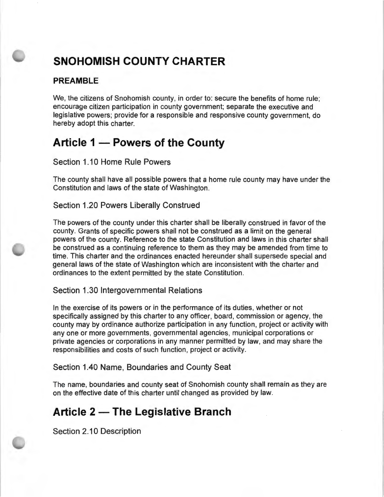# **SNOHOMISH COUNTY CHARTER**

# **PREAMBLE**

We, the citizens of Snohomish county, in order to: secure the benefits of home rule; encourage citizen participation in county government; separate the executive and legislative powers; provide for a responsible and responsive county government, do hereby adopt this charter.

# Article 1 – Powers of the County

Section 1.10 Home Rule Powers

The county shall have all possible powers that a home rule county may have under the Constitution and laws of the state of Washington.

Section 1.20 Powers Liberally Construed

The powers of the county under this charter shall be liberally construed in favor of the county. Grants of specific powers shall not be construed as a limit on the general powers of the county. Reference to the state Constitution and laws in this charter shall be construed as a continuing reference to them as they may be amended from time to time. This charter and the ordinances enacted hereunder shall supersede special and general laws of the state of Washington which are inconsistent with the charter and ordinances to the extent permitted by the state Constitution.

Section 1.30 Intergovernmental Relations

In the exercise of its powers or in the performance of its duties, whether or not specifically assigned by this charter to any officer, board, commission or agency, the county may by ordinance authorize participation in any function, project or activity with any one or more governments, governmental agencies, municipal corporations or private agencies or corporations in any manner permitted by law, and may share the responsibilities and costs of such function, project or activity.

Section 1 .40 Name, Boundaries and County Seat

The name, boundaries and county seat of Snohomish county shall remain as they are on the effective date of this charter until changed as provided by law.

# **Article 2 - The Legislative Branch**

Section 2.10 Description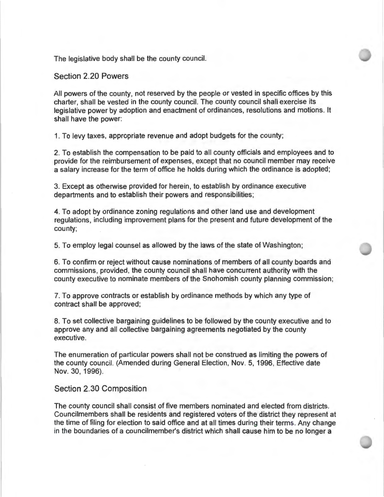The legislative body shall be the county council.

Section 2.20 Powers

All powers of the county, not reserved by the people or vested in specific offices by this charter, shall be vested in the county council. The county council shall exercise its legislative power by adoption and enactment of ordinances, resolutions and motions. It shall have the power:

1. To levy taxes, appropriate revenue and adopt budgets for the county;

2. To establish the compensation to be paid to all county officials and employees and to provide for the reimbursement of expenses, except that no council member may receive a salary increase for the term of office he holds during which the ordinance is adopted;

3. Except as otherwise provided for herein, to establish by ordinance executive departments and to establish their powers and responsibilities;

4. To adopt by ordinance zoning regulations and other land use and development regulations, including improvement plans for the present and future development of the county;

5. To employ legal counsel as allowed by the laws of the state of Washington ;

6. To confirm or reject without cause nominations of members of all county boards and commissions, provided, the county council shall have concurrent authority with the county executive to nominate members of the Snohomish county planning commission ;

7. To approve contracts or establish by ordinance methods by which any type of contract shall be approved;

8. To set collective bargaining guidelines to be followed by the county executive and to approve any and all collective bargaining agreements negotiated by the county executive.

The enumeration of particular powers shall not be construed as limiting the powers of the county council. (Amended during General Election, Nov. 5, 1996, Effective date Nov. 30, 1996).

#### Section 2.30 Composition

The county council shall consist of five members nominated and elected from districts. Councilmembers shall be residents and registered voters of the district they represent at the time of filing for election to said office and at all times during their terms. Any change in the boundaries of a councilmember's district which shall cause him to be no longer a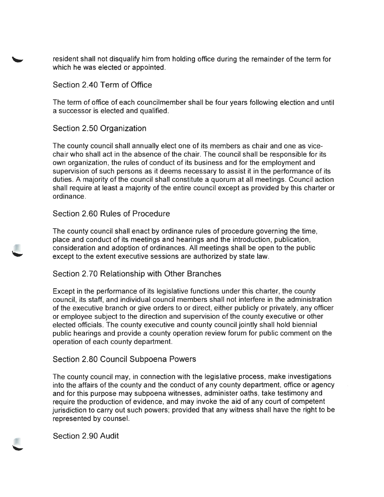resident shall not disqualify him from holding office during the remainder of the term for which he was elected or appointed.

Section 2.40 Term of Office

The term of office of each councilmember shall be four years following election and until a successor is elected and qualified.

Section 2.50 Organization

The county council shall annually elect one of its members as chair and one as vicechair who shall act in the absence of the chair. The council shall be responsible for its own organization, the rules of conduct of its business and for the employment and supervision of such persons as it deems necessary to assist it in the performance of its duties. A majority of the council shall constitute a quorum at all meetings. Council action shall require at least a majority of the entire council except as provided by this charter or ordinance.

# Section 2.60 Rules of Procedure

The county council shall enact by ordinance rules of procedure governing the time, place and conduct of its meetings and hearings and the introduction, publication, consideration and adoption of ordinances. All meetings shall be open to the public except to the extent executive sessions are authorized by state law.

# Section 2.70 Relationship with Other Branches

Except in the performance of its legislative functions under this charter, the county council, its staff, and individual council members shall not interfere in the administration of the executive branch or give orders to or direct, either publicly or privately, any officer or employee subject to the direction and supervision of the county executive or other elected officials. The county executive and county council jointly shall hold biennial public hearings and provide a county operation review forum for public comment on the operation of each county department.

# Section 2.80 Council Subpoena Powers

The county council may, in connection with the legislative process, make investigations into the affairs of the county and the conduct of any county department, office or agency and for this purpose may subpoena witnesses, administer oaths, take testimony and require the production of evidence, and may invoke the aid of any court of competent jurisdiction to carry out such powers; provided that any witness shall have the right to be represented by counsel.

Section 2.90 Audit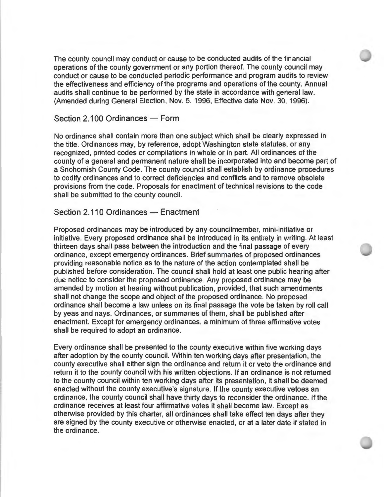The county council may conduct or cause to be conducted audits of the financial operations of the county government or any portion thereof. The county council may conduct or cause to be conducted periodic performance and program audits to review the effectiveness and efficiency of the programs and operations of the county. Annual audits shall continue to be performed by the state in accordance with general law. (Amended during General Election, Nov. 5, 1996, Effective date Nov. 30, 1996).

# Section 2.100 Ordinances - Form

No ordinance shall contain more than one subject which shall be clearly expressed in the title. Ordinances may, by reference, adopt Washington state statutes, or any recognized, printed codes or compilations in whole or in part. All ordinances of the county of a general and permanent nature shall be incorporated into and become part of a Snohomish County Code. The county council shall establish by ordinance procedures to codify ordinances and to correct deficiencies and conflicts and to remove obsolete provisions from the code. Proposals for enactment of technical revisions to the code shall be submitted to the county council.

### Section 2.110 Ordinances - Enactment

Proposed ordinances may be introduced by any councilmember, mini-initiative or initiative. Every proposed ordinance shall be introduced in its entirety in writing. At least thirteen days shall pass between the introduction and the final passage of every ordinance, except emergency ordinances. Brief summaries of proposed ordinances providing reasonable notice as to the nature of the action contemplated shall be published before consideration. The council shall hold at least one public hearing after due notice to consider the proposed ordinance. Any proposed ordinance may be amended by motion at hearing without publication, provided, that such amendments shall not change the scope and object of the proposed ordinance. No proposed ordinance shall become a law unless on its final passage the vote be taken by roll call by yeas and nays. Ordinances, or summaries of them, shall be published after enactment. Except for emergency ordinances, a minimum of three affirmative votes shall be required to adopt an ordinance.

Every ordinance shall be presented to the county executive within five working days after adoption by the county council. Within ten working days after presentation, the county executive shall either sign the ordinance and return it or veto the ordinance and return it to the county council with his written objections. If an ordinance is not returned to the county council within ten working days after its presentation, it shall be deemed enacted without the county executive's signature. If the county executive vetoes an ordinance, the county council shall have thirty days to reconsider the ordinance. If the ordinance receives at least four affirmative votes it shall become law. Except as otherwise provided by this charter, all ordinances shall take effect ten days after they are signed by the county executive or otherwise enacted, or at a later date if stated in the ordinance.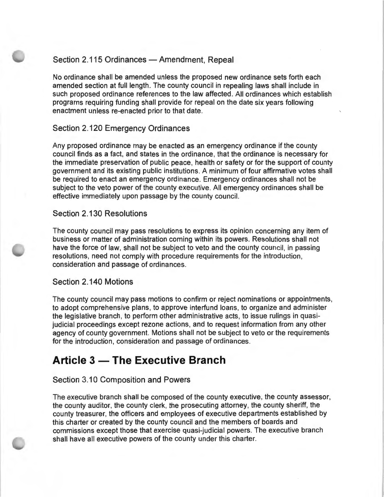### Section 2.115 Ordinances - Amendment, Repeal

No ordinance shall be amended unless the proposed new ordinance sets forth each amended section at full length. The county council in repealing laws shall include in such proposed ordinance references to the law affected. All ordinances which establish programs requiring funding shall provide for repeal on the date six years following enactment unless re-enacted prior to that date.

### Section 2.120 Emergency Ordinances

Any proposed ordinance may be enacted as an emergency ordinance if the county council finds as a fact, and states in the ordinance, that the ordinance is necessary for the immediate preservation of public peace, health or safety or for the support of county government and its existing public institutions. A minimum of four affirmative votes shall be required to enact an emergency ordinance. Emergency ordinances shall not be subject to the veto power of the county executive. All emergency ordinances shall be effective immediately upon passage by the county council.

### Section 2.130 Resolutions

The county council may pass resolutions to express its opinion concerning any item of business or matter of administration coming within its powers. Resolutions shall not have the force of law, shall not be subject to veto and the county council, in passing resolutions, need not comply with procedure requirements for the introduction, consideration and passage of ordinances.

### Section 2.140 Motions

The county council may pass motions to confirm or reject nominations or appointments, to adopt comprehensive plans, to approve interfund loans, to organize and administer the legislative branch, to perform other administrative acts, to issue rulings in quasijudicial proceedings except rezone actions, and to request information from any other agency of county government. Motions shall not be subject to veto or the requirements for the introduction, consideration and passage of ordinances.

# **Article 3 - The Executive Branch**

### Section 3.10 Composition and Powers

The executive branch shall be composed of the county executive, the county assessor, the county auditor, the county clerk, the prosecuting attorney, the county sheriff, the county treasurer, the officers and employees of executive departments established by this charter or created by the county council and the members of boards and commissions except those that exercise quasi-judicial powers. The executive branch shall have all executive powers of the county under this charter.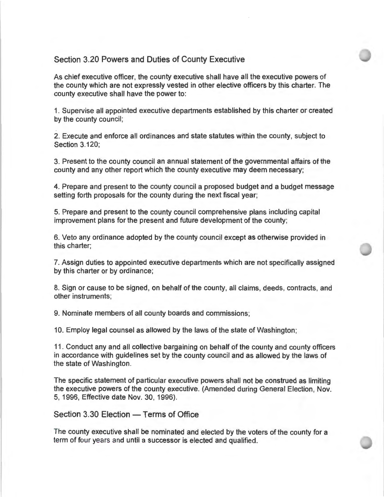### Section 3.20 Powers and Duties of County Executive

As chief executive officer, the county executive shall have all the executive powers of the county which are not expressly vested in other elective officers by this charter. The county executive shall have the power to:

1. Supervise all appointed executive departments established by this charter or created by the county council;

2. Execute and enforce all ordinances and state statutes within the county, subject to Section 3.120;

3. Present to the county council an annual statement of the governmental affairs of the county and any other report which the county executive may deem necessary;

4. Prepare and present to the county council a proposed budget and a budget message setting forth proposals for the county during the next fiscal year;

5. Prepare and present to the county council comprehensive plans including capital improvement plans for the present and future development of the county;

6. Veto any ordinance adopted by the county council except as otherwise provided in this charter;

7. Assign duties to appointed executive departments which are not specifically assigned by this charter or by ordinance;

8. Sign or cause to be signed, on behalf of the county, all claims, deeds, contracts, and other instruments;

9. Nominate members of all county boards and commissions;

10. Employ legal counsel as allowed by the laws of the state of Washington;

11. Conduct any and all collective bargaining on behalf of the county and county officers in accordance with guidelines set by the county council and as allowed by the laws of the state of Washington.

The specific statement of particular executive powers shall not be construed as limiting the executive powers of the county executive. (Amended during General Election, Nov. 5, 1996, Effective date Nov. 30, 1996).

Section 3.30 Election - Terms of Office

The county executive shall be nominated and elected by the voters of the county for a term of four years and until a successor is elected and qualified.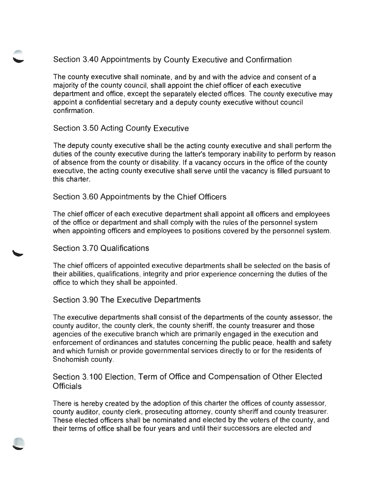# Section 3.40 Appointments by County Executive and Confirmation

The county executive shall nominate, and by and with the advice and consent of a majority of the county council, shall appoint the chief officer of each executive department and office, except the separately elected offices. The county executive may appoint a confidential secretary and a deputy county executive without council confirmation.

# Section 3.50 Acting County Executive

The deputy county executive shall be the acting county executive and shall perform the duties of the county executive during the latter's temporary inability to perform by reason of absence from the county or disability. If a vacancy occurs in the office of the county executive, the acting county executive shall serve until the vacancy is filled pursuant to this charter.

# Section 3.60 Appointments by the Chief Officers

The chief officer of each executive department shall appoint all officers and employees of the office or department and shall comply with the rules of the personnel system when appointing officers and employees to positions covered by the personnel system.

# Section 3.70 Qualifications

The chief officers of appointed executive departments shall be selected on the basis of their abilities, qualifications, integrity and prior experience concerning the duties of the office to which they shall be appointed.

# Section 3.90 The Executive Departments

The executive departments shall consist of the departments of the county assessor, the county auditor, the county clerk, the county sheriff, the county treasurer and those agencies of the executive branch which are primarily engaged in the execution and enforcement of ordinances and statutes concerning the public peace, health and safety and which furnish or provide governmental services directly to or for the residents of Snohomish county.

# Section 3.100 Election, Term of Office and Compensation of Other Elected Officials

There is hereby created by the adoption of this charter the offices of county assessor, county auditor, county clerk, prosecuting attorney, county sheriff and county treasurer. These elected officers shall be nominated and elected by the voters of the county, and their terms of office shall be four years and until their successors are elected and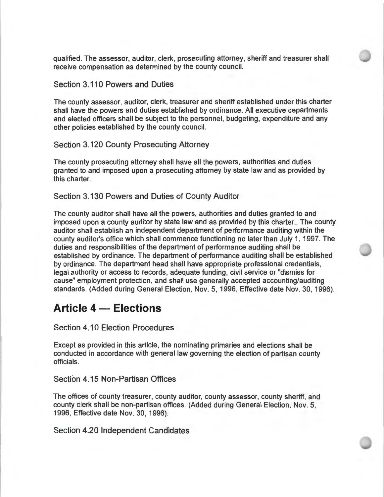qualified. The assessor, auditor, clerk, prosecuting attorney, sheriff and treasurer shall receive compensation as determined by the county council.

### Section 3.110 Powers and Duties

The county assessor, auditor, clerk, treasurer and sheriff established under this charter shall have the powers and duties established by ordinance. All executive departments and elected officers shall be subject to the personnel, budgeting, expenditure and any other policies established by the county council.

Section 3.120 County Prosecuting Attorney

The county prosecuting attorney shall have all the powers, authorities and duties granted to and imposed upon a prosecuting attorney by state law and as provided by this charter.

Section 3.130 Powers and Duties of County Auditor

The county auditor shall have all the powers, authorities and duties granted to and imposed upon a county auditor by state law and as provided by this charter.. The county auditor shall establish an independent department of performance auditing within the county auditor's office which shall commence functioning no later than July 1, 1997. The duties and responsibilities of the department of performance auditing shall be established by ordinance. The department of performance auditing shall be established by ordinance. The department head shall have appropriate professional credentials, legal authority or access to records, adequate funding, civil service or "dismiss for cause" employment protection, and shall use generally accepted accounting/auditing standards. (Added during General Election, Nov. 5, 1996, Effective date Nov. 30, 1996).

# **Article 4 - Elections**

Section 4.10 Election Procedures

Except as provided in this article, the nominating primaries and elections shall be conducted in accordance with general law governing the election of partisan county officials.

Section 4.15 Non-Partisan Offices

The offices of county treasurer, county auditor, county assessor, county sheriff, and county clerk shall be non-partisan offices. (Added during General Election, Nov. 5, 1996, Effective date Nov. 30, 1996).

Section 4.20 Independent Candidates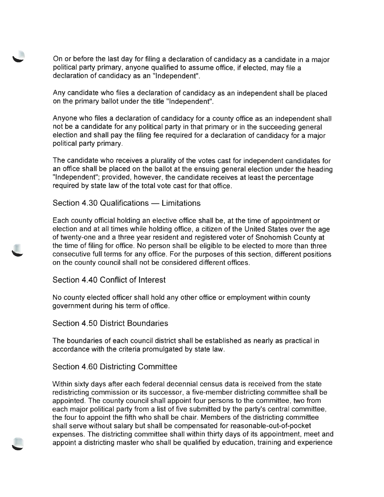On or before the last day for filing a declaration of candidacy as a candidate in a major political party primary, anyone qualified to assume office, if elected, may file a declaration of candidacy as an "Independent".

Any candidate who files a declaration of candidacy as an independent shall be placed on the primary ballot under the title "Independent".

Anyone who files a declaration of candidacy for a county office as an independent shall not be a candidate for any political party in that primary or in the succeeding general election and shall pay the filing fee required for a declaration of candidacy for a major political party primary.

The candidate who receives a plurality of the votes cast for independent candidates for an office shall be placed on the ballot at the ensuing general election under the heading "Independent"; provided, however, the candidate receives at least the percentage required by state law of the total vote cast for that office.

Section 4.30 Qualifications — Limitations

Each county official holding an elective office shall be, at the time of appointment or election and at all times while holding office, a citizen of the United States over the age of twenty-one and a three year resident and registered voter of Snohomish County at the time of filing for office. No person shall be eligible to be elected to more than three consecutive full terms for any office. For the purposes of this section, different positions on the county council shall not be considered different offices.

Section 4.40 Conflict of Interest

No county elected officer shall hold any other office or employment within county government during his term of office.

Section 4.50 District Boundaries

The boundaries of each council district shall be established as nearly as practical in accordance with the criteria promulgated by state law.

Section 4.60 Districting Committee

Within sixty days after each federal decennial census data is received from the state redistricting commission or its successor, a five-member districting committee shall be appointed. The county council shall appoint four persons to the committee, two from each major political party from a list of five submitted by the party's central committee, the four to appoint the fifth who shall be chair. Members of the districting committee shall serve without salary but shall be compensated for reasonable-out-of-pocket expenses. The districting committee shall within thirty days of its appointment, meet and appoint a districting master who shall be qualified by education, training and experience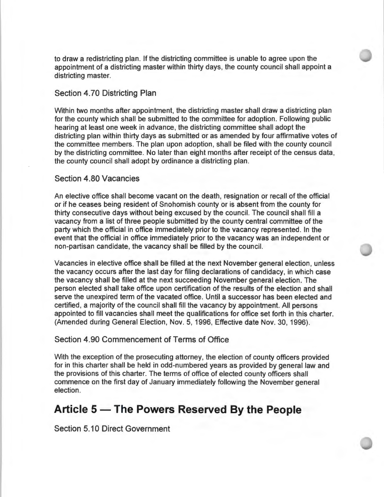to draw a redistricting plan. If the districting committee is unable to agree upon the appointment of a districting master within thirty days, the county council shall appoint a districting master.

### Section **4.** 70 Districting Plan

Within two months after appointment, the districting master shall draw a districting plan for the county which shall be submitted to the committee for adoption. Following public hearing at least one week in advance, the districting committee shall adopt the districting plan within thirty days as submitted or as amended by four affirmative votes of the committee members. The plan upon adoption, shall be filed with the county council by the districting committee. No later than eight months after receipt of the census data, the county council shall adopt by ordinance a districting plan.

### Section 4.80 Vacancies

An elective office shall become vacant on the death, resignation or recall of the official or if he ceases being resident of Snohomish county or is absent from the county for thirty consecutive days without being excused by the council. The council shall fill a vacancy from a list of three people submitted by the county central committee of the party which the official in office immediately prior to the vacancy represented . In the event that the official in office immediately prior to the vacancy was an independent or non-partisan candidate, the vacancy shall be filled by the council.

Vacancies in elective office shall be filled at the next November general election, unless the vacancy occurs after the last day for filing declarations of candidacy, in which case the vacancy shall be filled at the next succeeding November general election. The person elected shall take office upon certification of the results of the election and shall serve the unexpired term of the vacated office. Until a successor has been elected and certified, a majority of the council shall fill the vacancy by appointment. All persons appointed to fill vacancies shall meet the qualifications for office set forth in this charter. (Amended during General Election, Nov. 5, 1996, Effective date Nov. 30, 1996).

#### Section 4.90 Commencement of Terms of Office

With the exception of the prosecuting attorney, the election of county officers provided for in this charter shall be held in odd-numbered years as provided by general law and the provisions of this charter. The terms of office of elected county officers shall commence on the first day of January immediately following the November general election.

# **Article 5 - The Powers Reserved By the People**

Section 5.10 Direct Government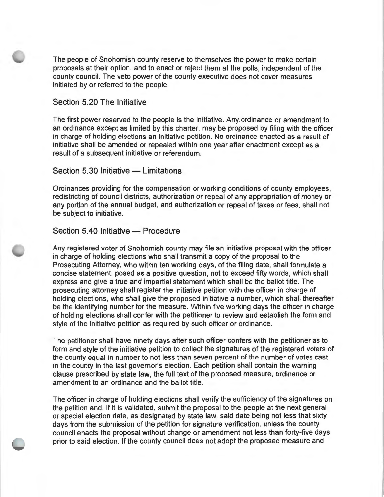The people of Snohomish county reserve to themselves the power to make certain proposals at their option, and to enact or reject them at the polls, independent of the county council. The veto power of the county executive does not cover measures initiated by or referred to the people.

#### Section 5.20 The Initiative

The first power reserved to the people is the initiative. Any ordinance or amendment to an ordinance except as limited by this charter, may be proposed by filing with the officer in charge of holding elections an initiative petition. No ordinance enacted as a result of initiative shall be amended or repealed within one year after enactment except as a result of a subsequent initiative or referendum.

### Section  $5.30$  Initiative  $-$  Limitations

Ordinances providing for the compensation or working conditions of county employees, redistricting of council districts, authorization or repeal of any appropriation of money or any portion of the annual budget, and authorization or repeal of taxes or fees, shall not be subject to initiative.

# Section 5.40 Initiative - Procedure

Any registered voter of Snohomish county may file an initiative proposal with the officer in charge of holding elections who shall transmit a copy of the proposal to the Prosecuting Attorney, who within ten working days, of the filing date, shall formulate a concise statement, posed as a positive question, not to exceed fifty words, which shall express and give a true and impartial statement which shall be the ballot title. The prosecuting attorney shall register the initiative petition with the officer in charge of holding elections, who shall give the proposed initiative a number, which shall thereafter be the identifying number for the measure. Within five working days the officer in charge of holding elections shall confer with the petitioner to review and establish the form and style of the initiative petition as required by such officer or ordinance.

The petitioner shall have ninety days after such officer confers with the petitioner as to form and style of the initiative petition to collect the signatures of the registered voters of the county equal in number to not less than seven percent of the number of votes cast in the county in the last governor's election. Each petition shall contain the warning clause prescribed by state law, the full text of the proposed measure, ordinance or amendment to an ordinance and the ballot title.

The officer in charge of holding elections shall verify the sufficiency of the signatures on the petition and, if it is validated, submit the proposal to the people at the next general or special election date, as designated by state law, said date being not less that sixty days from the submission of the petition for signature verification, unless the county council enacts the proposal without change or amendment not less than forty-five days prior to said election. If the county council does not adopt the proposed measure and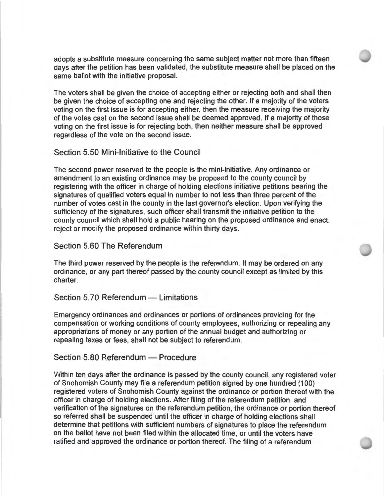adopts a substitute measure concerning the same subject matter not more than fifteen days after the petition has been validated, the substitute measure shall be placed on the same ballot with the initiative proposal.

The voters shall be given the choice of accepting either or rejecting both and shall then be given the choice of accepting one and rejecting the other. If a majority of the voters voting on the first issue is for accepting either, then the measure receiving the majority of the votes cast on the second issue shall be deemed approved. If a majority of those voting on the first issue is for rejecting both, then neither measure shall be approved regardless of the vote on the second issue.

### Section 5.50 Mini-Initiative to the Council

The second power reserved to the people is the mini-initiative. Any ordinance or amendment to an existing ordinance may be proposed to the county council by registering with the officer in charge of holding elections initiative petitions bearing the signatures of qualified voters equal in number to not less than three percent of the number of votes cast in the county in the last governor's election. Upon verifying the sufficiency of the signatures, such officer shall transmit the initiative petition to the county council which shall hold a public hearing on the proposed ordinance and enact, reject or modify the proposed ordinance within thirty days.

### Section 5.60 The Referendum

The third power reserved by the people is the referendum. It may be ordered on any ordinance, or any part thereof passed by the county council except as limited by this charter.

### Section 5.70 Referendum - Limitations

Emergency ordinances and ordinances or portions of ordinances providing for the compensation or working conditions of county employees, authorizing or repealing any appropriations of money or any portion of the annual budget and authorizing or repealing taxes or fees, shall not be subject to referendum.

### Section 5.80 Referendum - Procedure

Within ten days after the ordinance is passed by the county council, any registered voter of Snohomish County may file a referendum petition signed by one hundred (100) registered voters of Snohomish County against the ordinance or portion thereof with the officer in charge of holding elections. After filing of the referendum petition, and verification of the signatures on the referendum petition, the ordinance or portion thereof so referred shall be suspended until the officer in charge of holding elections shall determine that petitions with sufficient numbers of signatures to place the referendum on the ballot have not been filed within the allocated time, or until the voters have ratified and approved the ordinance or portion thereof. The filing of a referendum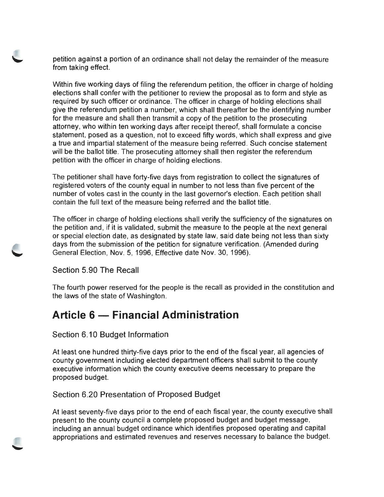petition against a portion of an ordinance shall not delay the remainder of the measure from taking effect.

Within five working days of filing the referendum petition, the officer in charge of holding elections shall confer with the petitioner to review the proposal as to form and style as required by such officer or ordinance. The officer in charge of holding elections shall give the referendum petition a number, which shall thereafter be the identifying number for the measure and shall then transmit a copy of the petition to the prosecuting attorney, who within ten working days after receipt thereof, shall formulate a concise statement, posed as a question, not to exceed fifty words, which shall express and give a true and impartial statement of the measure being referred. Such concise statement will be the ballot title. The prosecuting attorney shall then register the referendum petition with the officer in charge of holding elections.

The petitioner shall have forty-five days from registration to collect the signatures of registered voters of the county equal in number to not less than five percent of the number of votes cast in the county in the last governor's election. Each petition shall contain the full text of the measure being referred and the ballot title.

The officer in charge of holding elections shall verify the sufficiency of the signatures on the petition and, if it is validated, submit the measure to the people at the next general or special election date, as designated by state law, said date being not less than sixty days from the submission of the petition for signature verification . (Amended during General Election, Nov. 5, 1996, Effective date Nov. 30, 1996).

Section 5.90 The Recall

The fourth power reserved for the people is the recall as provided in the constitution and the laws of the state of Washington.

# **Article 6 - Financial Administration**

# Section 6.10 Budget Information

At least one hundred thirty-five days prior to the end of the fiscal year, all agencies of county government including elected department officers shall submit to the county executive information which the county executive deems necessary to prepare the proposed budget.

# Section 6.20 Presentation of Proposed Budget

At least seventy-five days prior to the end of each fiscal year, the county executive shall present to the county council a complete proposed budget and budget message, including an annual budget ordinance which identifies proposed operating and capital appropriations and estimated revenues and reserves necessary to balance the budget.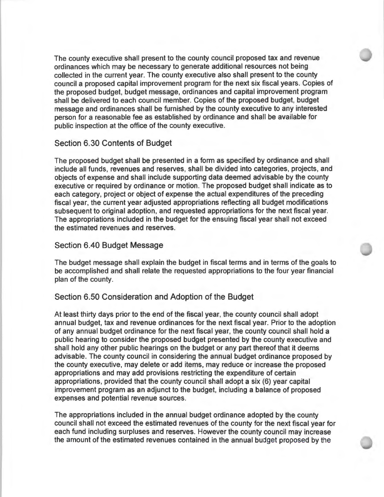The county executive shall present to the county council proposed tax and revenue ordinances which may be necessary to generate additional resources not being collected in the current year. The county executive also shall present to the county council a proposed capital improvement program for the next six fiscal years. Copies of the proposed budget, budget message, ordinances and capital improvement program shall be delivered to each council member. Copies of the proposed budget, budget message and ordinances shall be furnished by the county executive to any interested person for a reasonable fee as established by ordinance and shall be available for public inspection at the office of the county executive.

### Section 6.30 Contents of Budget

The proposed budget shall be presented in a form as specified by ordinance and shall include all funds, revenues and reserves, shall be divided into categories, projects, and objects of expense and shall include supporting data deemed advisable by the county executive or required by ordinance or motion. The proposed budget shall indicate as to each category, project or object of expense the actual expenditures of the preceding fiscal year, the current year adjusted appropriations reflecting all budget modifications subsequent to original adoption, and requested appropriations for the next fiscal year. The appropriations included in the budget for the ensuing fiscal year shall not exceed the estimated revenues and reserves.

### Section 6.40 Budget Message

The budget message shall explain the budget in fiscal terms and in terms of the goals to be accomplished and shall relate the requested appropriations to the four year financial plan of the county.

### Section 6.50 Consideration and Adoption of the Budget

At least thirty days prior to the end of the fiscal year, the county council shall adopt annual budget, tax and revenue ordinances for the next fiscal year. Prior to the adoption of any annual budget ordinance for the next fiscal year, the county council shall hold a public hearing to consider the proposed budget presented by the county executive and shall hold any other public hearings on the budget or any part thereof that it deems advisable. The county council in considering the annual budget ordinance proposed by the county executive, may delete or add items, may reduce or increase the proposed appropriations and may add provisions restricting the expenditure of certain appropriations, provided that the county council shall adopt a six (6) year capital improvement program as an adjunct to the budget, including a balance of proposed expenses and potential revenue sources.

The appropriations included in the annual budget ordinance adopted by the county council shall not exceed the estimated revenues of the county for the next fiscal year for each fund including surpluses and reserves . However the county council may increase the amount of the estimated revenues contained in the annual budget proposed by the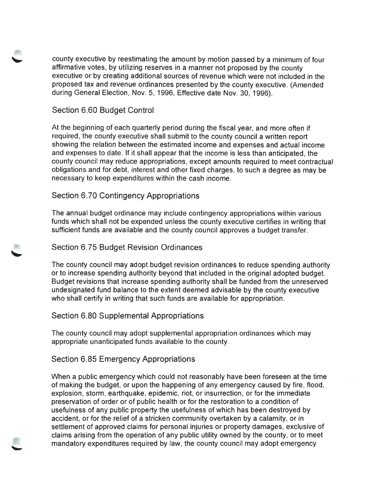county executive by reestimating the amount by motion passed by a minimum of four affirmative votes, by utilizing reserves in a manner not proposed by the county executive or by creating additional sources of revenue which were not included in the proposed tax and revenue ordinances presented by the county executive. (Amended during General Election, Nov. 5, 1996, Effective date Nov. 30, 1996).

### Section 6.60 Budget Control

At the beginning of each quarterly period during the fiscal year, and more often if required, the county executive shall submit to the county council a written report showing the relation between the estimated income and expenses and actual income and expenses to date. If it shall appear that the income is less than anticipated, the county council may reduce appropriations, except amounts required to meet contractual obligations and for debt, interest and other fixed charges, to such a degree as may be necessary to keep expenditures within the cash income.

### Section 6.70 Contingency Appropriations

The annual budget ordinance may include contingency appropriations within various funds which shall not be expended unless the county executive certifies in writing that sufficient funds are available and the county council approves a budget transfer.

#### Section 6. 75 Budget Revision Ordinances

The county council may adopt budget revision ordinances to reduce spending authority or to increase spending authority beyond that included in the original adopted budget. Budget revisions that increase spending authority shall be funded from the unreserved undesignated fund balance to the extent deemed advisable by the county executive who shall certify in writing that such funds are available for appropriation.

### Section 6.80 Supplemental Appropriations

The county council may adopt supplemental appropriation ordinances which may appropriate unanticipated funds available to the county.

### Section 6.85 Emergency Appropriations

When a public emergency which could not reasonably have been foreseen at the time of making the budget, or upon the happening of any emergency caused by fire, flood, explosion, storm, earthquake, epidemic, riot, or insurrection, or for the immediate preservation of order or of public health or for the restoration to a condition of usefulness of any public property the usefulness of which has been destroyed by accident, or for the relief of a stricken community overtaken by a calamity, or in settlement of approved claims for personal injuries or property damages, exclusive of claims arising from the operation of any public utility owned by the county, or to meet mandatory expenditures required by law, the county council may adopt emergency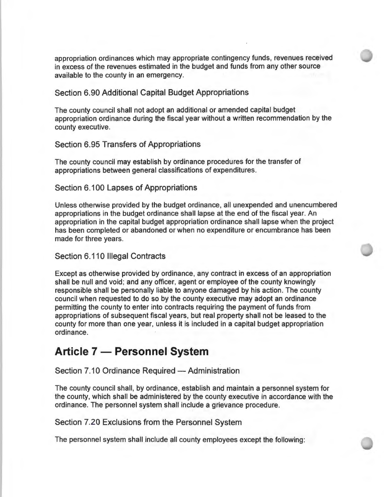appropriation ordinances which may appropriate contingency funds, revenues received in excess of the revenues estimated in the budget and funds from any other source available to the county in an emergency.

#### Section 6.90 Additional Capital Budget Appropriations

The county council shall not adopt an additional or amended capital budget appropriation ordinance during the fiscal year without a written recommendation by the county executive.

Section 6.95 Transfers of Appropriations

The county council may establish by ordinance procedures for the transfer of appropriations between general classifications of expenditures.

Section 6.100 Lapses of Appropriations

Unless otherwise provided by the budget ordinance, all unexpended and unencumbered appropriations in the budget ordinance shall lapse at the end of the fiscal year. An appropriation in the capital budget appropriation ordinance shall lapse when the project has been completed or abandoned or when no expenditure or encumbrance has been made for three years.

### Section 6.110 Illegal Contracts

Except as otherwise provided by ordinance, any contract in excess of an appropriation shall be null and void; and any officer, agent or employee of the county knowingly responsible shall be personally liable to anyone damaged by his action. The county council when requested to do so by the county executive may adopt an ordinance permitting the county to enter into contracts requiring the payment of funds from appropriations of subsequent fiscal years, but real property shall not be leased to the county for more than one year, unless it is included in a capital budget appropriation ordinance.

# **Article 7 - Personnel System**

Section 7.10 Ordinance Required - Administration

The county council shall, by ordinance, establish and maintain a personnel system for the county, which shall be administered by the county executive in accordance with the ordinance. The personnel system shall include a grievance procedure.

Section 7.20 Exclusions from the Personnel System

The personnel system shall include all county employees except the following: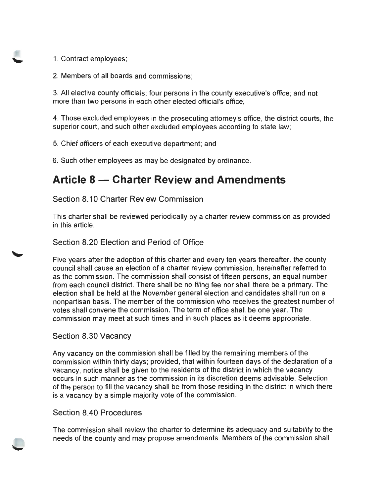- 1. Contract employees;
- 2. Members of all boards and commissions;

3. All elective county officials; four persons in the county executive's office; and not more than two persons in each other elected official's office;

4. Those excluded employees in the prosecuting attorney's office, the district courts, the superior court, and such other excluded employees according to state law;

5. Chief officers of each executive department; and

6. Such other employees as may be designated by ordinance.

# **Article 8 - Charter Review and Amendments**

Section 8.10 Charter Review Commission

This charter shall be reviewed periodically by a charter review commission as provided in this article.

Section 8.20 Election and Period of Office

Five years after the adoption of this charter and every ten years thereafter, the county council shall cause an election of a charter review commission , hereinafter referred to as the commission . The commission shall consist of fifteen persons, an equal number from each council district. There shall be no filing fee nor shall there be a primary. The election shall be held at the November general election and candidates shall run on a nonpartisan basis. The member of the commission who receives the greatest number of votes shall convene the commission . The term of office shall be one year. The commission may meet at such times and in such places as it deems appropriate.

# Section 8.30 Vacancy

Any vacancy on the commission shall be filled by the remaining members of the commission within thirty days; provided, that within fourteen days of the declaration of a vacancy, notice shall be given to the residents of the district in which the vacancy occurs in such manner as the commission in its discretion deems advisable. Selection of the person to fill the vacancy shall be from those residing in the district in which there is a vacancy by a simple majority vote of the commission.

# Section 8.40 Procedures

The commission shall review the charter to determine its adequacy and suitability to the needs of the county and may propose amendments. Members of the commission shall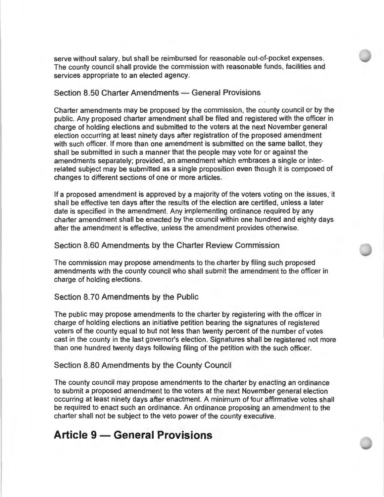serve without salary, but shall be reimbursed for reasonable out-of-pocket expenses. The county council shall provide the commission with reasonable funds, facilities and services appropriate to an elected agency.

# Section 8.50 Charter Amendments - General Provisions

Charter amendments may be proposed by the commission, the county council or by the public. Any proposed charter amendment shall be filed and registered with the officer in charge of holding elections and submitted to the voters at the next November general election occurring at least ninety days after registration of the proposed amendment with such officer. If more than one amendment is submitted on the same ballot, they shall be submitted in such a manner that the people may vote for or against the amendments separately; provided, an amendment which embraces a single or interrelated subject may be submitted as a single proposition even though it is composed of changes to different sections of one or more articles.

If a proposed amendment is approved by a majority of the voters voting on the issues, it shall be effective ten days after the results of the election are certified , unless a later date is specified in the amendment. Any implementing ordinance required by any charter amendment shall be enacted by the council within one hundred and eighty days after the amendment is effective, unless the amendment provides otherwise.

### Section 8.60 Amendments by the Charter Review Commission

The commission may propose amendments to the charter by filing such proposed amendments with the county council who shall submit the amendment to the officer in charge of holding elections.

### Section 8. 70 Amendments by the Public

The public may propose amendments to the charter by registering with the officer in charge of holding elections an initiative petition bearing the signatures of registered voters of the county equal to but not less than twenty percent of the number of votes cast in the county in the last governor's election. Signatures shall be registered not more than one hundred twenty days following filing of the petition with the such officer.

#### Section 8.80 Amendments by the County Council

The county council may propose amendments to the charter by enacting an ordinance to submit a proposed amendment to the voters at the next November general election occurring at least ninety days after enactment. A minimum of four affirmative votes shall be required to enact such an ordinance. An ordinance proposing an amendment to the charter shall not be subject to the veto power of the county executive.

# **Article 9 - General Provisions**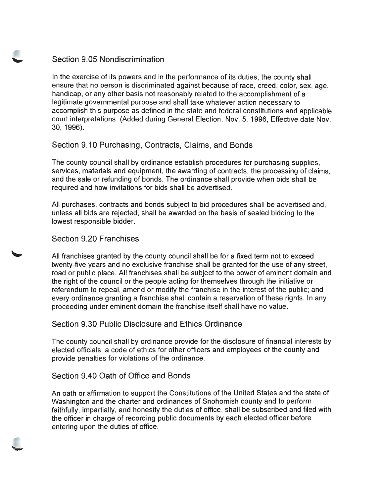# Section 9.05 Nondiscrimination

In the exercise of its powers and in the performance of its duties, the county shall ensure that no person is discriminated against because of race, creed , color, sex, age, handicap, or any other basis not reasonably related to the accomplishment of a legitimate governmental purpose and shall take whatever action necessary to accomplish this purpose as defined in the state and federal constitutions and applicable court interpretations. (Added during General Election, Nov. 5, 1996, Effective date Nov. 30, 1996).

Section 9.10 Purchasing, Contracts, Claims, and Bonds

The county council shall by ordinance establish procedures for purchasing supplies, services, materials and equipment, the awarding of contracts, the processing of claims, and the sale or refunding of bonds. The ordinance shall provide when bids shall be required and how invitations for bids shall be advertised.

All purchases, contracts and bonds subject to bid procedures shall be advertised and, unless all bids are rejected , shall be awarded on the basis of sealed bidding to the lowest responsible bidder.

### Section 9.20 Franchises

All franchises granted by the county council shall be for a fixed term not to exceed twenty-five years and no exclusive franchise shall be granted for the use of any street, road or public place. All franchises shall be subject to the power of eminent domain and the right of the council or the people acting for themselves through the initiative or referendum to repeal, amend or modify the franchise in the interest of the public; and every ordinance granting a franchise shall contain a reservation of these rights. In any proceeding under eminent domain the franchise itself shall have no value.

# Section 9.30 Public Disclosure and Ethics Ordinance

The county council shall by ordinance provide for the disclosure of financial interests by elected officials, a code of ethics for other officers and employees of the county and provide penalties for violations of the ordinance.

# Section 9.40 Oath of Office and Bonds

An oath or affirmation to support the Constitutions of the United States and the state of Washington and the charter and ordinances of Snohomish county and to perform faithfully, impartially, and honestly the duties of office, shall be subscribed and filed with the officer in charge of recording public documents by each elected officer before entering upon the duties of office.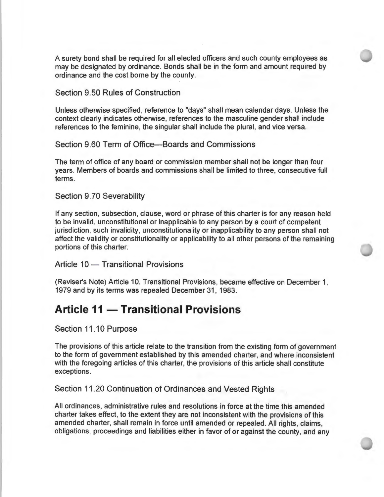A surety bond shall be required for all elected officers and such county employees as may be designated by ordinance. Bonds shall be in the form and amount required by ordinance and the cost borne by the county.

Section 9.50 Rules of Construction

Unless otherwise specified , reference to "days" shall mean calendar days. Unless the context clearly indicates otherwise, references to the masculine gender shall include references to the feminine, the singular shall include the plural, and vice versa.

Section 9.60 Term of Office-Boards and Commissions

The term of office of any board or commission member shall not be longer than four years. Members of boards and commissions shall be limited to three, consecutive full terms.

Section 9.70 Severability

If any section, subsection, clause, word or phrase of this charter is for any reason held to be invalid, unconstitutional or inapplicable to any person by a court of competent jurisdiction, such invalidity, unconstitutionality or inapplicability to any person shall not affect the validity or constitutionality or applicability to all other persons of the remaining portions of this charter.

Article 10 - Transitional Provisions

(Reviser's Note) Article 10, Transitional Provisions, became effective on December 1, 1979 and by its terms was repealed December 31, 1983.

# **Article 11 - Transitional Provisions**

Section 11.10 Purpose

The provisions of this article relate to the transition from the existing form of government to the form of government established by this amended charter, and where inconsistent with the foregoing articles of this charter, the provisions of this article shall constitute exceptions.

Section 11.20 Continuation of Ordinances and Vested Rights

All ordinances, administrative rules and resolutions in force at the time this amended charter takes effect, to the extent they are not inconsistent with the provisions of this amended charter, shall remain in force until amended or repealed. All rights, claims, obligations, proceedings and liabilities either in favor of or against the county, and any